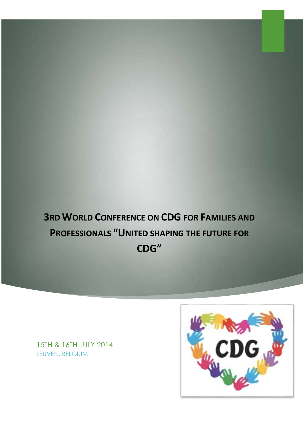**3RD WORLD CONFERENCE ON CDG FOR FAMILIES AND PROFESSIONALS "UNITED SHAPING THE FUTURE FOR CDG"**

15TH & 16TH JULY 2014 LEUVEN, BELGIUM

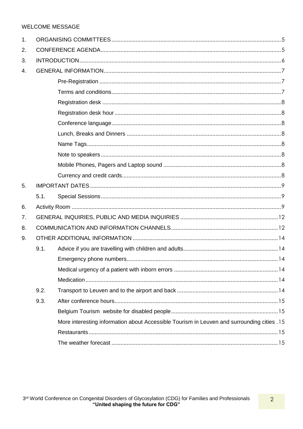# **WELCOME MESSAGE**

| 1. |      |                                                                                            |  |  |
|----|------|--------------------------------------------------------------------------------------------|--|--|
| 2. |      |                                                                                            |  |  |
| 3. |      |                                                                                            |  |  |
| 4. |      |                                                                                            |  |  |
|    |      |                                                                                            |  |  |
|    |      |                                                                                            |  |  |
|    |      |                                                                                            |  |  |
|    |      |                                                                                            |  |  |
|    |      |                                                                                            |  |  |
|    |      |                                                                                            |  |  |
|    |      |                                                                                            |  |  |
|    |      |                                                                                            |  |  |
|    |      |                                                                                            |  |  |
|    |      |                                                                                            |  |  |
| 5. |      |                                                                                            |  |  |
|    | 5.1. |                                                                                            |  |  |
| 6. |      |                                                                                            |  |  |
| 7. |      |                                                                                            |  |  |
| 8. |      |                                                                                            |  |  |
| 9. |      |                                                                                            |  |  |
|    | 9.1. |                                                                                            |  |  |
|    |      |                                                                                            |  |  |
|    |      |                                                                                            |  |  |
|    |      |                                                                                            |  |  |
|    | 9.2. |                                                                                            |  |  |
|    | 9.3. |                                                                                            |  |  |
|    |      |                                                                                            |  |  |
|    |      | More interesting information about Accessible Tourism in Leuven and surrounding cities .15 |  |  |
|    |      |                                                                                            |  |  |
|    |      |                                                                                            |  |  |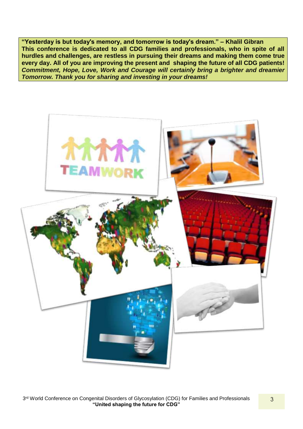**"Yesterday is but today's memory, and tomorrow is today's dream." – Khalil Gibran This conference is dedicated to all CDG families and professionals, who in spite of all hurdles and challenges, are restless in pursuing their dreams and making them come true every day. All of you are improving the present and shaping the future of all CDG patients!** *Commitment, Hope, Love, Work and Courage will certainly bring a brighter and dreamier Tomorrow. Thank you for sharing and investing in your dreams!*

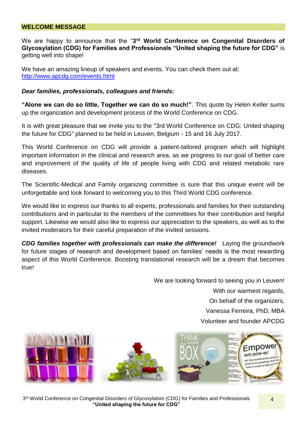## **WELCOME MESSAGE**

We are happy to announce that the "3<sup>rd</sup> World Conference on Congenital Disorders of **Glycosylation (CDG) for Families and Professionals "United shaping the future for CDG"** is getting well into shape!

We have an amazing lineup of speakers and events. You can check them out at: <http://www.apcdg.com/events.html>

### *Dear families, professionals, colleagues and friends:*

**"Alone we can do so little, Together we can do so much!"**. This quote by Helen Keller sums up the organization and development process of the World Conference on CDG.

It is with great pleasure that we invite you to the "3rd World Conference on CDG: United shaping the future for CDG" planned to be held in Leuven, Belgium - 15 and 16 July 2017.

This World Conference on CDG will provide a patient-tailored program which will highlight important information in the clinical and research area, as we progress to our goal of better care and improvement of the quality of life of people living with CDG and related metabolic rare diseases.

The Scientific-Medical and Family organizing committee is sure that this unique event will be unforgettable and look forward to welcoming you to this Third World CDG conference.

We would like to express our thanks to all experts, professionals and families for their outstanding contributions and in particular to the members of the committees for their contribution and helpful support. Likewise we would also like to express our appreciation to the speakers, as well as to the invited moderators for their careful preparation of the invited sessions.

*CDG families together with professionals can make the difference!* Laying the groundwork for future stages of research and development based on families' needs is the most rewarding aspect of this World Conference. Boosting translational research will be a dream that becomes true!

> We are looking forward to seeing you in Leuven! With our warmest regards, On behalf of the organizers, Vanessa Ferreira, PhD, MBA Volunteer and founder APCDG

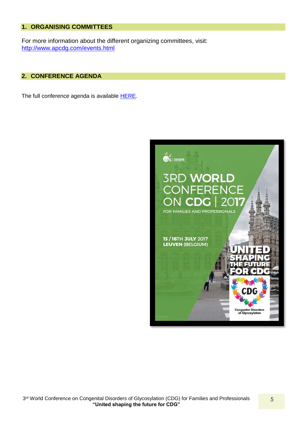## <span id="page-4-0"></span>**1. ORGANISING COMMITTEES**

For more information about the different organizing committees, visit: <http://www.apcdg.com/events.html>

### <span id="page-4-1"></span>**2. CONFERENCE AGENDA**

The full conference agenda is available **HERE**.

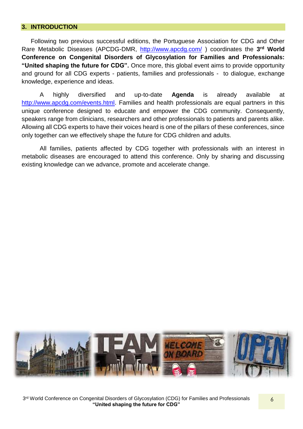## <span id="page-5-0"></span>**3. INTRODUCTION**

Following two previous successful editions, the Portuguese Association for CDG and Other Rare Metabolic Diseases (APCDG-DMR, <http://www.apcdg.com/>) coordinates the 3<sup>rd</sup> World **Conference on Congenital Disorders of Glycosylation for Families and Professionals: "United shaping the future for CDG".** Once more, this global event aims to provide opportunity and ground for all CDG experts - patients, families and professionals - to dialogue, exchange knowledge, experience and ideas.

A highly diversified and up-to-date **Agenda** is already available at [http://www.apcdg.com/events.html.](http://www.apcdg.com/events.html) Families and health professionals are equal partners in this unique conference designed to educate and empower the CDG community. Consequently, speakers range from clinicians, researchers and other professionals to patients and parents alike. Allowing all CDG experts to have their voices heard is one of the pillars of these conferences, since only together can we effectively shape the future for CDG children and adults.

All families, patients affected by CDG together with professionals with an interest in metabolic diseases are encouraged to attend this conference. Only by sharing and discussing existing knowledge can we advance, promote and accelerate change.

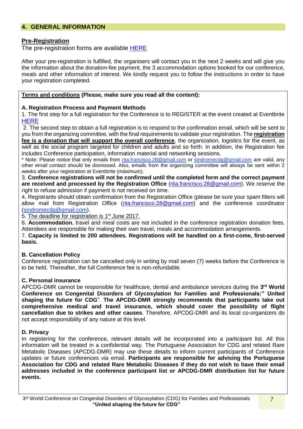## <span id="page-6-0"></span>**4. GENERAL INFORMATION**

### <span id="page-6-1"></span>**Pre-Registration**

The pre-registration forms are available [HERE](Booklet%203rd%20World%20Conference%20on%20CDG_17022016.docx)

After your pre-registration is fulfilled, the organisers will contact you in the next 2 weeks and will give you the information about the donation-fee payment, the 3 accommodation options booked for our conference, meals and other information of interest. We kindly request you to follow the instructions in order to have your registration completed.

#### <span id="page-6-2"></span>**Terms and conditions (Please, make sure you read all the content):**

#### **A. Registration Process and Payment Methods**

1. The first step for a full registration for the Conference is to REGISTER at the event created at Eventbrite **[HERE](file:///C:/Users/RITA/Desktop/CDG/World%20Conference%2017/recent%20documents/Booklet%203rd%20World%20Conference%20on%20CDG_17022016.docx)** 

2. The second step to obtain a full registration is to respond to the confirmation email, which will be sent to you from the organizing committee, with the final requirements to validate your registration. The **registration fee is a donation that will support the overall conference**, the organization, logistics for the event, as well as the social program targeted for children and adults and so forth. In addition, the Registration fee includes Conference participation, information material and networking sessions.

\* Note: Please notice that only emails from rita.francisco.28@gmail.com or sindromecdg@gmail.com are valid, any other email contact should be dismissed. Also, emails from the organizing committee will always be sent within 2 weeks after your registration at Eventbrite (máximum).

3. **Conference registrations will not be confirmed until the completed form and the correct payment are received and processed by the Registration Office** [\(rita.francisco.28@gmail.com\)](mailto:rita.francisco.28@gmail.com). We reserve the right to refuse admission if payment is not received on time.

4. Registrants should obtain confirmation from the Registration Office (please be sure your spam filters will allow mail from Registration Office [\(rita.francisco.28@gmail.com\)](mailto:rita.francisco.28@gmail.com) and the conference coordinator (sindromecdg@gmail.com).

5. The deadline for registration is 1<sup>st</sup> June 2017.

6. **Accommodation**, travel and meal costs are not included in the conference registration donation fees. Attendees are responsible for making their own travel, meals and accommodation arrangements.

7. **Capacity is limited to 200 attendees. Registrations will be handled on a first-come, first-served basis.**

### **B. Cancellation Policy**

Conference registration can be cancelled only in writing by mail seven (7) weeks before the Conference is to be held. Thereafter, the full Conference fee is non-refundable.

#### **C. Personal insurance**

APCDG-DMR cannot be responsible for healthcare, dental and ambulance services during the **3 rd World Conference on Congenital Disorders of Glycosylation for Families and Professionals:" United shaping the future for CDG**". **The APCDG-DMR strongly recommends that participants take out comprehensive medical and travel insurance, which should cover the possibility of flight cancellation due to strikes and other causes**. Therefore, APCDG-DMR and its local co-organizers do not accept responsibility of any nature at this level.

#### **D. Privacy**

In registering for the conference, relevant details will be incorporated into a participant list. All this information will be treated in a confidential way. The Portuguese Association for CDG and related Rare Metabolic Diseases (APCDG-DMR) may use these details to inform current participants of Conference updates or future conferences via email. **Participants are responsible for advising the Portuguese Association for CDG and related Rare Metabolic Diseases if they do not wish to have their email addresses included in the conference participant list or APCDG-DMR distribution list for future events.**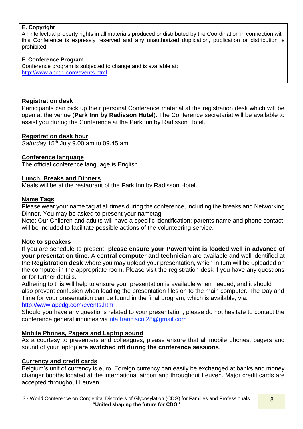# **E. Copyright**

All intellectual property rights in all materials produced or distributed by the Coordination in connection with this Conference is expressly reserved and any unauthorized duplication, publication or distribution is prohibited.

## **F. Conference Program**

Conference program is subjected to change and is available at: <http://www.apcdg.com/events.html>

## <span id="page-7-0"></span>**Registration desk**

Participants can pick up their personal Conference material at the registration desk which will be open at the venue (**Park Inn by Radisson Hotel**). The Conference secretariat will be available to assist you during the Conference at the Park Inn by Radisson Hotel.

## <span id="page-7-1"></span>**Registration desk hour**

*Saturday* 15 th July 9.00 am to 09.45 am

## <span id="page-7-2"></span>**Conference language**

The official conference language is English.

## <span id="page-7-3"></span>**Lunch, Breaks and Dinners**

Meals will be at the restaurant of the Park Inn by Radisson Hotel.

## <span id="page-7-4"></span>**Name Tags**

Please wear your name tag at all times during the conference, including the breaks and Networking Dinner. You may be asked to present your nametag.

Note: Our Children and adults will have a specific identification: parents name and phone contact will be included to facilitate possible actions of the volunteering service.

### <span id="page-7-5"></span>**Note to speakers**

If you are schedule to present, **please ensure your PowerPoint is loaded well in advance of your presentation time**. A **central computer and technician** are available and well identified at the **Registration desk** where you may upload your presentation, which in turn will be uploaded on the computer in the appropriate room. Please visit the registration desk if you have any questions or for further details.

Adhering to this will help to ensure your presentation is available when needed, and it should also prevent confusion when loading the presentation files on to the main computer. The Day and Time for your presentation can be found in the final program, which is available, via: <http://www.apcdg.com/events.html>

Should you have any questions related to your presentation, please do not hesitate to contact the conference general inquiries via rita.francisco.28@gmail.com

## <span id="page-7-6"></span>**Mobile Phones, Pagers and Laptop sound**

As a courtesy to presenters and colleagues, please ensure that all mobile phones, pagers and sound of your laptop **are switched off during the conference sessions**.

### <span id="page-7-7"></span>**Currency and credit cards**

Belgium's unit of currency is euro. Foreign currency can easily be exchanged at banks and money changer booths located at the international airport and throughout Leuven. Major credit cards are accepted throughout Leuven.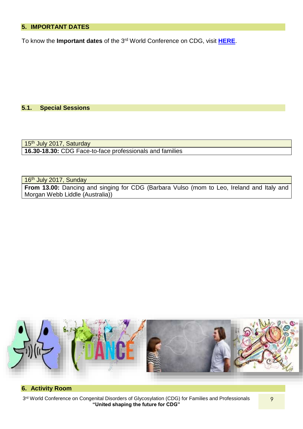# <span id="page-8-0"></span>**5. IMPORTANT DATES**

To know the **Important dates** of the 3rd World Conference on CDG, visit **[HERE](Booklet%203rd%20World%20Conference%20on%20CDG_17022016.docx)**.

### <span id="page-8-1"></span>**5.1. Special Sessions**

15<sup>th</sup> July 2017, Saturday **16.30-18.30:** CDG Face-to-face professionals and families

16<sup>th</sup> July 2017, Sunday

**From 13.00:** Dancing and singing for CDG (Barbara Vulso (mom to Leo, Ireland and Italy and Morgan Webb Liddle (Australia))



# <span id="page-8-2"></span>**6. Activity Room**

3<sup>rd</sup> World Conference on Congenital Disorders of Glycosylation (CDG) for Families and Professionals **"United shaping the future for CDG"**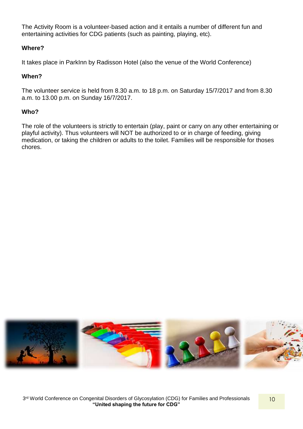The Activity Room is a volunteer-based action and it entails a number of different fun and entertaining activities for CDG patients (such as painting, playing, etc).

# **Where?**

It takes place in ParkInn by Radisson Hotel (also the venue of the World Conference)

# **When?**

The volunteer service is held from 8.30 a.m. to 18 p.m. on Saturday 15/7/2017 and from 8.30 a.m. to 13.00 p.m. on Sunday 16/7/2017.

# **Who?**

The role of the volunteers is strictly to entertain (play, paint or carry on any other entertaining or playful activity). Thus volunteers will NOT be authorized to or in charge of feeding, giving medication, or taking the children or adults to the toilet. Families will be responsible for thoses chores.

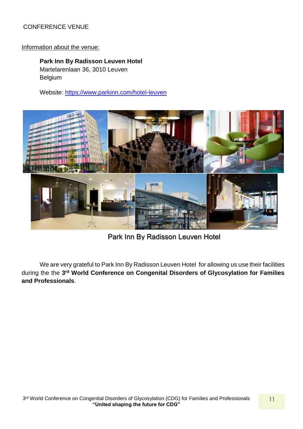# CONFERENCE VENUE

## Information about the venue:

**Park Inn By Radisson Leuven Hotel** Martelarenlaan 36, 3010 Leuven Belgium

Website:<https://www.parkinn.com/hotel-leuven>



Park Inn By Radisson Leuven Hotel

We are very grateful to Park Inn By Radisson Leuven Hotel for allowing us use their facilities during the the 3<sup>rd</sup> World Conference on Congenital Disorders of Glycosylation for Families **and Professionals**.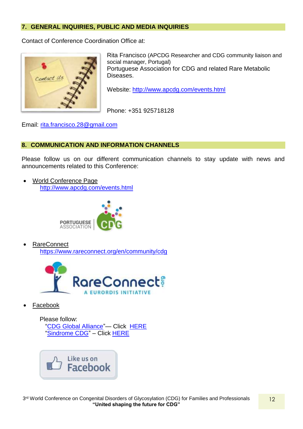# <span id="page-11-0"></span>**7. GENERAL INQUIRIES, PUBLIC AND MEDIA INQUIRIES**

Contact of Conference Coordination Office at:



Rita Francisco (APCDG Researcher and CDG community liaison and social manager, Portugal) Portuguese Association for CDG and related Rare Metabolic Diseases.

Website:<http://www.apcdg.com/events.html>

Phone: +351 925718128

Email: [rita.francisco.28@gmail.com](mailto:rita.francisco.28@gmail.com)

# <span id="page-11-1"></span>**8. COMMUNICATION AND INFORMATION CHANNELS**

Please follow us on our different communication channels to stay update with news and announcements related to this Conference:

 World Conference Page <http://www.apcdg.com/events.html>



 RareConnect <https://www.rareconnect.org/en/community/cdg>



Facebook

Please follow: ["CDG Global Alliance"](file:///C:/Users/RITA/Desktop/CDG/World%20Conference%2017/Booklet%203rd%20World%20Conference%20on%20CDG_28122016%20RF_VDRF_DC.docx)— Click [HERE](file:///C:/Users/RITA/Desktop/CDG/World%20Conference%2017/recent%20documents/Booklet%203rd%20World%20Conference%20on%20CDG_16022017_FV.docx) ["Sindrome CDG"](file:///C:/Users/RITA/Desktop/CDG/World%20Conference%2017/Booklet%203rd%20World%20Conference%20on%20CDG_28122016%20RF_VDRF_DC.docx) – Click [HERE](file:///C:/Users/RITA/Desktop/CDG/World%20Conference%2017/recent%20documents/Booklet%203rd%20World%20Conference%20on%20CDG_16022017_FV.docx)

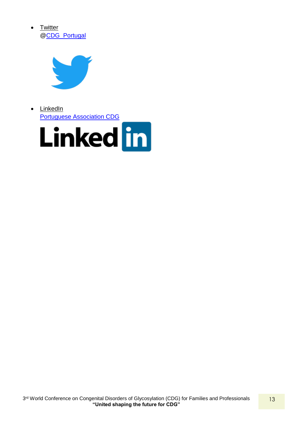



• LinkedIn [Portuguese Association CDG](file:///C:/Users/RITA/Desktop/CDG/World%20Conference%2017/Booklet%203rd%20World%20Conference%20on%20CDG_28122016%20RF_VDRF_DC.docx)

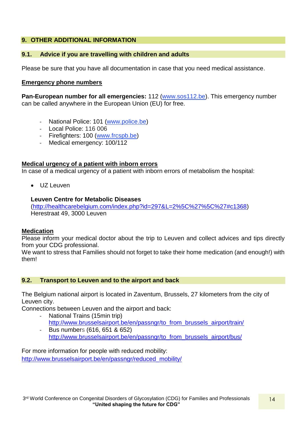# <span id="page-13-0"></span>**9. OTHER ADDITIONAL INFORMATION**

# <span id="page-13-1"></span>**9.1. Advice if you are travelling with children and adults**

Please be sure that you have all documentation in case that you need medical assistance.

# <span id="page-13-2"></span>**Emergency phone numbers**

**Pan-European number for all emergencies:** 112 [\(www.sos112.be\)](http://www.sos112.be/en/). This emergency number can be called anywhere in the European Union (EU) for free.

- National Police: 101 [\(www.police.be\)](http://www.police.be/)
- Local Police: 116 006
- Firefighters: 100 [\(www.frcspb.be\)](http://www.frcspb.be/)
- Medical emergency: 100/112

# <span id="page-13-3"></span>**Medical urgency of a patient with inborn errors**

In case of a medical urgency of a patient with inborn errors of metabolism the hospital:

UZ Leuven

# **Leuven Centre for Metabolic Diseases**

[\(http://healthcarebelgium.com/index.php?id=297&L=2%5C%27%5C%27#c1368\)](http://healthcarebelgium.com/index.php?id=297&L=2%5C%27%5C%27#c1368) Herestraat 49, 3000 Leuven

## <span id="page-13-4"></span>**Medication**

Please inform your medical doctor about the trip to Leuven and collect advices and tips directly from your CDG professional.

We want to stress that Families should not forget to take their home medication (and enough!) with them!

# <span id="page-13-5"></span>**9.2. Transport to Leuven and to the airport and back**

The Belgium national airport is located in Zaventum, Brussels, 27 kilometers from the city of Leuven city.

Connections between Leuven and the airport and back:

- National Trains (15min trip) [http://www.brusselsairport.be/en/passngr/to\\_from\\_brussels\\_airport/train/](http://www.brusselsairport.be/en/passngr/to_from_brussels_airport/train/)
- Bus numbers (616, 651 & 652) [http://www.brusselsairport.be/en/passngr/to\\_from\\_brussels\\_airport/bus/](http://www.brusselsairport.be/en/passngr/to_from_brussels_airport/bus/)

For more information for people with reduced mobility: [http://www.brusselsairport.be/en/passngr/reduced\\_mobility/](http://www.brusselsairport.be/en/passngr/reduced_mobility/)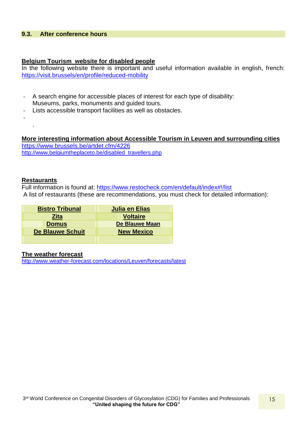## <span id="page-14-0"></span>**9.3. After conference hours**

### <span id="page-14-1"></span>**Belgium Tourism website for disabled people**

In the following website there is important and useful information available in english, french: <https://visit.brussels/en/profile/reduced-mobility>

- A search engine for accessible places of interest for each type of disability: Museums, parks, monuments and guided tours.
- Lists accessible transport facilities as well as obstacles.

-

.

<span id="page-14-2"></span>**More interesting information about Accessible Tourism in Leuven and surrounding cities** <https://www.brussels.be/artdet.cfm/4226> [http://www.belgiumtheplaceto.be/disabled\\_travellers.php](http://www.belgiumtheplaceto.be/disabled_travellers.php)

### <span id="page-14-3"></span>**Restaurants**

Full information is found at:<https://www.restocheck.com/en/default/index#!/list> A list of restaurants (these are recommendations, you must check for detailed information):

| <b>Bistro Tribunal</b>  | Julia en Elias        |
|-------------------------|-----------------------|
| <b>Zita</b>             | <b>Voltaire</b>       |
| <b>Domus</b>            | <b>De Blauwe Maan</b> |
| <b>De Blauwe Schuit</b> | <b>New Mexico</b>     |
|                         |                       |

### <span id="page-14-4"></span>**The weather forecast**

<http://www.weather-forecast.com/locations/Leuven/forecasts/latest>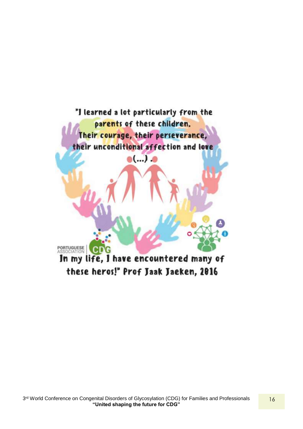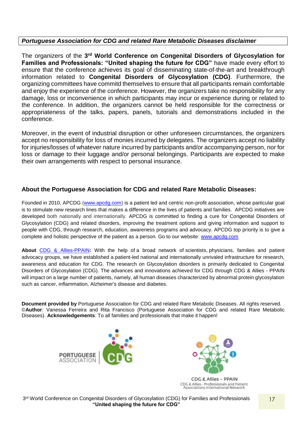# *Portuguese Association for CDG and related Rare Metabolic Diseases disclaimer*

The organizers of the 3<sup>rd</sup> World Conference on Congenital Disorders of Glycosylation for **Families and Professionals: "United shaping the future for CDG"** have made every effort to ensure that the conference achieves its goal of disseminating state-of-the-art and breakthrough information related to **Congenital Disorders of Glycosylation (CDG)**. Furthermore, the organizing committees have commitd themselves to ensure that all participants remain comfortable and enjoy the experience of the conference. However, the organizers take no responsibility for any damage, loss or inconvenience in which participants may incur or experience during or related to the conference. In addition, the organizers cannot be held responsible for the correctness or appropriateness of the talks, papers, panels, tutorials and demonstrations included in the conference.

Moreover, in the event of industrial disruption or other unforeseen circumstances, the organizers accept no responsibility for loss of monies incurred by delegates. The organizers accept no liability for injuries/losses of whatever nature incurred by participants and/or accompanying person, nor for loss or damage to their luggage and/or personal belongings. Participants are expected to make their own arrangements with respect to personal insurance.

# **About the Portuguese Association for CDG and related Rare Metabolic Diseases:**

Founded in 2010, APCDG [\(www.apcdg.com\)](http://www.apcdg.com/) is a patient led and centric non-profit association, whose particular goal is to stimulate new research lines that makes a difference in the lives of patients and families. APCDG initiatives are developed both nationally and internationally. APCDG is committed to finding a cure for Congenital Disorders of Glycosylation (CDG) and related disorders, improving the treatment options and giving information and support to people with CDG, through research, education, awareness programs and advocacy. APCDG top priority is to give a complete and holistic perspective of the patient as a person. Go to our website: [www.apcdg.com](http://www.apcdg.com/)

**About** [CDG & Allies-PPAIN](file:///C:/Users/Merell/AppData/Local/Microsoft/Windows/INetCache/Content.Outlook/38CZVQTL/Press%20release_Pr%20Forbat_Barros%20Project_EN.docx)**:** With the help of a broad network of scientists, physicians, families and patient advocacy groups, we have established a patient-led national and internationally unrivaled infrastructure for research, awareness and education for CDG. The research on Glycosylation disorders is primarily dedicated to Congenital Disorders of Glycosylation (CDG). The advances and innovations achieved for CDG through CDG & Allies - PPAIN will impact on a large number of patients, namely, all human diseases characterized by abnormal protein glycosylation such as cancer, inflammation, Alzheimer's disease and diabetes.

**Document provided by** Portuguese Association for CDG and related Rare Metabolic Diseases. All rights reserved. ©**Author**: Vanessa Ferreira and Rita Francisco (Portuguese Association for CDG and related Rare Metabolic Diseases). **Acknowledgements**: To all families and professionals that make it happen!





CDG & Allies - Professionals and Patient<br>Associations International Network

3<sup>rd</sup> World Conference on Congenital Disorders of Glycosylation (CDG) for Families and Professionals **"United shaping the future for CDG"**